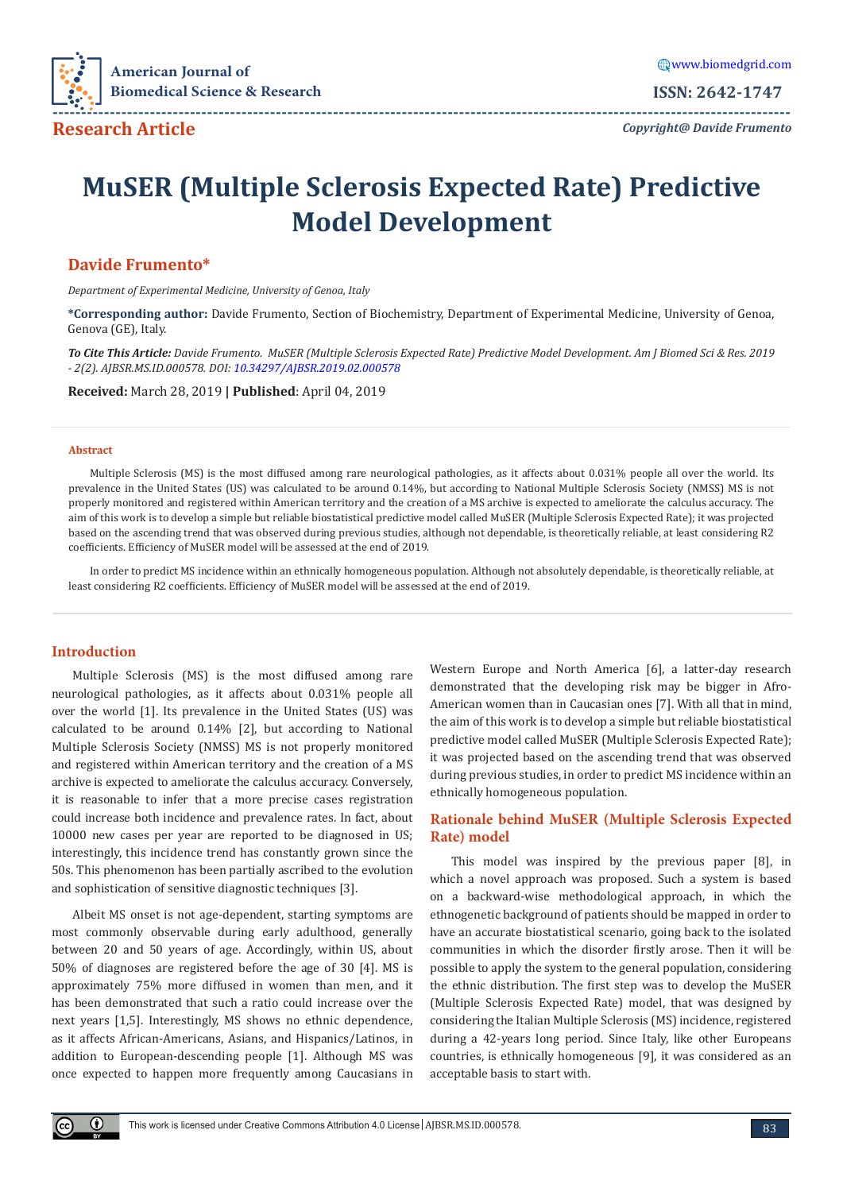

*Copyright@ Davide Frumento* **---------------------------------------------------------------------------------------------------------------------------------**

# **MuSER (Multiple Sclerosis Expected Rate) Predictive Model Development**

# **Davide Frumento\***

*Department of Experimental Medicine, University of Genoa, Italy*

**\*Corresponding author:** Davide Frumento, Section of Biochemistry, Department of Experimental Medicine, University of Genoa, Genova (GE), Italy.

*To Cite This Article: Davide Frumento. MuSER (Multiple Sclerosis Expected Rate) Predictive Model Development. Am J Biomed Sci & Res. 2019 - 2(2). AJBSR.MS.ID.000578. DOI: [10.34297/AJBSR.2019.02.000578](http://dx.doi.org/10.34297/AJBSR.2019.02.000578
)*

**Received:** March 28, 2019 **| Published**: April 04, 2019

#### **Abstract**

Multiple Sclerosis (MS) is the most diffused among rare neurological pathologies, as it affects about 0.031% people all over the world. Its prevalence in the United States (US) was calculated to be around 0.14%, but according to National Multiple Sclerosis Society (NMSS) MS is not properly monitored and registered within American territory and the creation of a MS archive is expected to ameliorate the calculus accuracy. The aim of this work is to develop a simple but reliable biostatistical predictive model called MuSER (Multiple Sclerosis Expected Rate); it was projected based on the ascending trend that was observed during previous studies, although not dependable, is theoretically reliable, at least considering R2 coefficients. Efficiency of MuSER model will be assessed at the end of 2019.

In order to predict MS incidence within an ethnically homogeneous population. Although not absolutely dependable, is theoretically reliable, at least considering R2 coefficients. Efficiency of MuSER model will be assessed at the end of 2019.

# **Introduction**

Multiple Sclerosis (MS) is the most diffused among rare neurological pathologies, as it affects about 0.031% people all over the world [1]. Its prevalence in the United States (US) was calculated to be around 0.14% [2], but according to National Multiple Sclerosis Society (NMSS) MS is not properly monitored and registered within American territory and the creation of a MS archive is expected to ameliorate the calculus accuracy. Conversely, it is reasonable to infer that a more precise cases registration could increase both incidence and prevalence rates. In fact, about 10000 new cases per year are reported to be diagnosed in US; interestingly, this incidence trend has constantly grown since the 50s. This phenomenon has been partially ascribed to the evolution and sophistication of sensitive diagnostic techniques [3].

Albeit MS onset is not age-dependent, starting symptoms are most commonly observable during early adulthood, generally between 20 and 50 years of age. Accordingly, within US, about 50% of diagnoses are registered before the age of 30 [4]. MS is approximately 75% more diffused in women than men, and it has been demonstrated that such a ratio could increase over the next years [1,5]. Interestingly, MS shows no ethnic dependence, as it affects African-Americans, Asians, and Hispanics/Latinos, in addition to European-descending people [1]. Although MS was once expected to happen more frequently among Caucasians in

Western Europe and North America [6], a latter-day research demonstrated that the developing risk may be bigger in Afro-American women than in Caucasian ones [7]. With all that in mind, the aim of this work is to develop a simple but reliable biostatistical predictive model called MuSER (Multiple Sclerosis Expected Rate); it was projected based on the ascending trend that was observed during previous studies, in order to predict MS incidence within an ethnically homogeneous population.

# **Rationale behind MuSER (Multiple Sclerosis Expected Rate) model**

This model was inspired by the previous paper [8], in which a novel approach was proposed. Such a system is based on a backward-wise methodological approach, in which the ethnogenetic background of patients should be mapped in order to have an accurate biostatistical scenario, going back to the isolated communities in which the disorder firstly arose. Then it will be possible to apply the system to the general population, considering the ethnic distribution. The first step was to develop the MuSER (Multiple Sclerosis Expected Rate) model, that was designed by considering the Italian Multiple Sclerosis (MS) incidence, registered during a 42-years long period. Since Italy, like other Europeans countries, is ethnically homogeneous [9], it was considered as an acceptable basis to start with.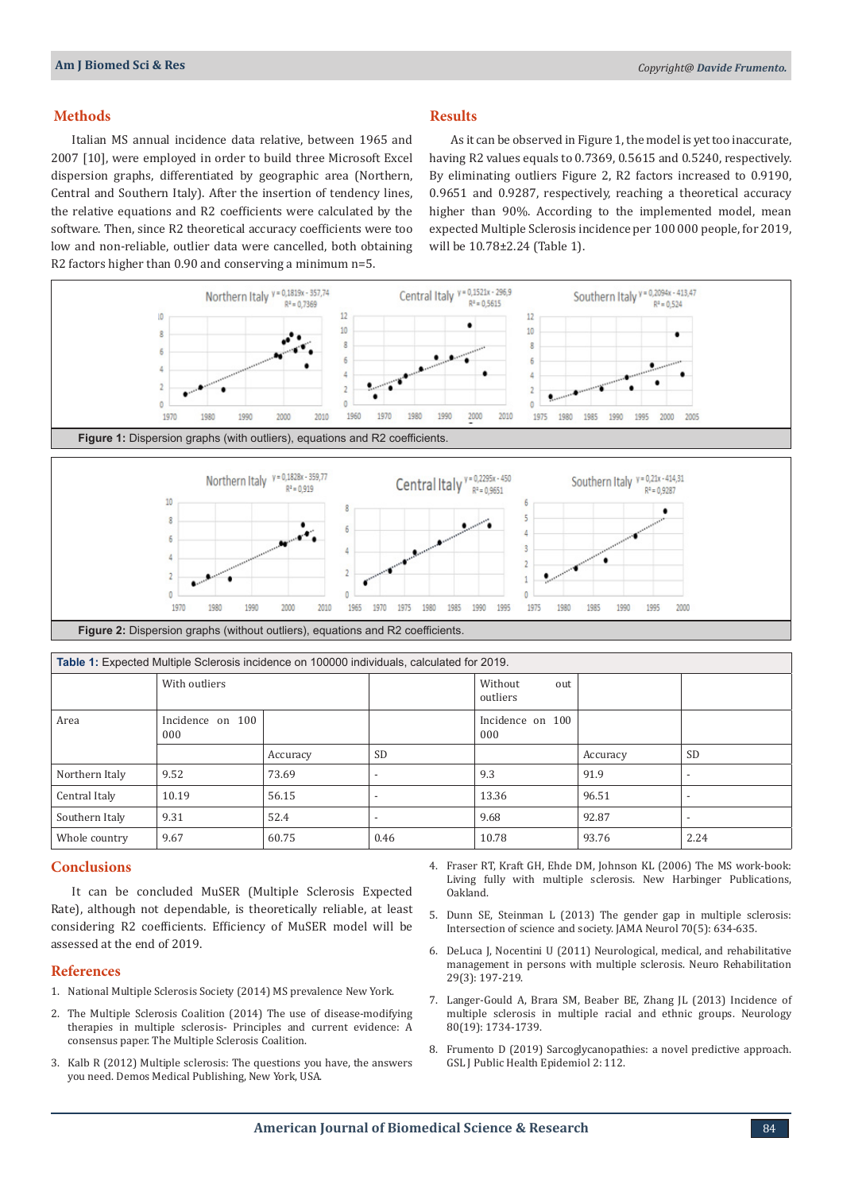## **Methods**

Italian MS annual incidence data relative, between 1965 and 2007 [10], were employed in order to build three Microsoft Excel dispersion graphs, differentiated by geographic area (Northern, Central and Southern Italy). After the insertion of tendency lines, the relative equations and R2 coefficients were calculated by the software. Then, since R2 theoretical accuracy coefficients were too low and non-reliable, outlier data were cancelled, both obtaining R2 factors higher than 0.90 and conserving a minimum n=5.

## **Results**

As it can be observed in Figure 1, the model is yet too inaccurate, having R2 values equals to 0.7369, 0.5615 and 0.5240, respectively. By eliminating outliers Figure 2, R2 factors increased to 0.9190, 0.9651 and 0.9287, respectively, reaching a theoretical accuracy higher than 90%. According to the implemented model, mean expected Multiple Sclerosis incidence per 100 000 people, for 2019, will be 10.78±2.24 (Table 1).



| Table 1: Expected Multiple Sclerosis incidence on 100000 individuals, calculated for 2019. |                         |          |                          |                            |          |                          |
|--------------------------------------------------------------------------------------------|-------------------------|----------|--------------------------|----------------------------|----------|--------------------------|
|                                                                                            | With outliers           |          |                          | Without<br>out<br>outliers |          |                          |
| Area                                                                                       | Incidence on 100<br>000 |          |                          | Incidence on 100<br>000    |          |                          |
|                                                                                            |                         | Accuracy | <b>SD</b>                |                            | Accuracy | <b>SD</b>                |
| Northern Italy                                                                             | 9.52                    | 73.69    | $\overline{\phantom{0}}$ | 9.3                        | 91.9     | $\overline{\phantom{a}}$ |
| Central Italy                                                                              | 10.19                   | 56.15    | $\overline{\phantom{0}}$ | 13.36                      | 96.51    | $\overline{\phantom{a}}$ |
| Southern Italy                                                                             | 9.31                    | 52.4     |                          | 9.68                       | 92.87    | $\overline{\phantom{a}}$ |
| Whole country                                                                              | 9.67                    | 60.75    | 0.46                     | 10.78                      | 93.76    | 2.24                     |

### **Conclusions**

It can be concluded MuSER (Multiple Sclerosis Expected Rate), although not dependable, is theoretically reliable, at least considering R2 coefficients. Efficiency of MuSER model will be assessed at the end of 2019.

#### **References**

- 1. National Multiple Sclerosis Society (2014) MS prevalence New York.
- 2. [The Multiple Sclerosis Coalition \(2014\) The use of disease-modifying](http://www.nationalmssociety.org/getmedia/5ca284d3-fc7c-4ba5-b005-ab537d495c3c/DMT_Consensus_MS_Coalition_color)  [therapies in multiple sclerosis- Principles and current evidence: A](http://www.nationalmssociety.org/getmedia/5ca284d3-fc7c-4ba5-b005-ab537d495c3c/DMT_Consensus_MS_Coalition_color)  [consensus paper. The Multiple Sclerosis Coalition](http://www.nationalmssociety.org/getmedia/5ca284d3-fc7c-4ba5-b005-ab537d495c3c/DMT_Consensus_MS_Coalition_color).
- 3. [Kalb R \(2012\) Multiple sclerosis: The questions you have, the answers](https://www.nationalmssociety.org/Programs-and-Services/Resources/The-Questions-You-Have%e2%80%94The-Answers-You-Need-(book)?page=1&orderby=3&order=asc)  [you need. Demos Medical Publishing, New York,](https://www.nationalmssociety.org/Programs-and-Services/Resources/The-Questions-You-Have%e2%80%94The-Answers-You-Need-(book)?page=1&orderby=3&order=asc) USA.
- 4. Fraser RT, Kraft GH, Ehde DM, Johnson KL (2006) The MS work-book: Living fully with multiple sclerosis. New Harbinger Publications, Oakland.
- 5. [Dunn SE, Steinman L \(2013\) The gender gap in multiple sclerosis:](https://www.ncbi.nlm.nih.gov/pubmed/23460044) [Intersection of science and society. JAMA Neurol 70\(5\): 634-635.](https://www.ncbi.nlm.nih.gov/pubmed/23460044)
- 6. [DeLuca J, Nocentini U \(2011\) Neurological, medical, and rehabilitative](https://www.ncbi.nlm.nih.gov/pubmed/22142753) [management in persons with multiple sclerosis. Neuro Rehabilitation](https://www.ncbi.nlm.nih.gov/pubmed/22142753) [29\(3\): 197-219.](https://www.ncbi.nlm.nih.gov/pubmed/22142753)
- 7. [Langer-Gould A, Brara SM, Beaber BE, Zhang JL \(2013\) Incidence of](https://www.ncbi.nlm.nih.gov/pubmed/23650231) [multiple sclerosis in multiple racial and ethnic groups. Neurology](https://www.ncbi.nlm.nih.gov/pubmed/23650231) [80\(19\): 1734-1739.](https://www.ncbi.nlm.nih.gov/pubmed/23650231)
- 8. Frumento D (2019) Sarcoglycanopathies: a novel predictive approach. GSL J Public Health Epidemiol 2: 112.